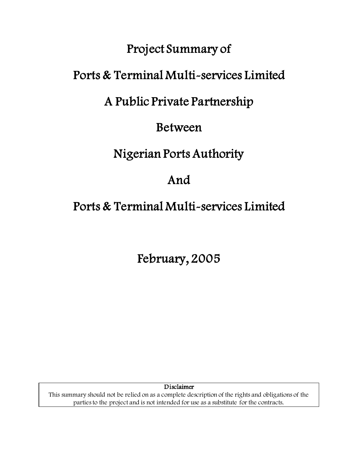## Project Summary of

# Ports & Terminal Multi-services Limited

# A Public Private Partnership

## Between

## Nigerian Ports Authority

# And

# Ports & Terminal Multi-services Limited

February, 2005

Disclaimer

This summary should not be relied on as a complete description of the rights and obligations of the parties to the project and is not intended for use as a substitute for the contracts.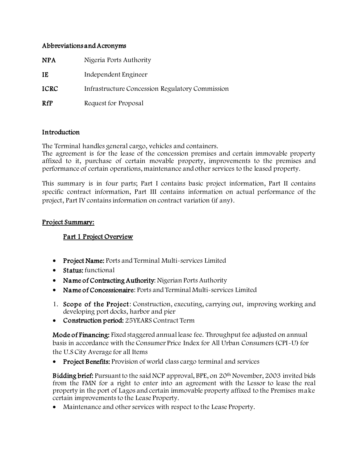#### Abbreviations and Acronyms

| <b>NPA</b>  | Nigeria Ports Authority                                |
|-------------|--------------------------------------------------------|
| IE          | Independent Engineer                                   |
| <b>ICRC</b> | <b>Infrastructure Concession Regulatory Commission</b> |
| <b>RfP</b>  | Request for Proposal                                   |

#### Introduction

The Terminal handles general cargo, vehicles and containers.

The agreement is for the lease of the concession premises and certain immovable property affixed to it, purchase of certain movable property, improvements to the premises and performance of certain operations, maintenance and other services to the leased property.

This summary is in four parts; Part I contains basic project information, Part II contains specific contract information, Part III contains information on actual performance of the project, Part IV contains information on contract variation (if any).

#### Project Summary:

## Part 1 Project Overview

- Project Name: Ports and Terminal Multi-services Limited
- Status: functional
- Name of Contracting Authority: Nigerian Ports Authority
- Name of Concessionaire: Ports and Terminal Multi-services Limited
- 1. Scope of the Project: Construction, executing, carrying out, improving working and developing port docks, harbor and pier
- Construction period: 25YEARS Contract Term

Mode of Financing: Fixed staggered annual lease fee. Throughput fee adjusted on annual basis in accordance with the Consumer Price Index for All Urban Consumers (CPI-U) for the U.S City Average for all Items

• Project Benefits: Provision of world class cargo terminal and services

Bidding brief: Pursuant to the said NCP approval, BPE, on 20th November, 2003 invited bids from the FMN for a right to enter into an agreement with the Lessor to lease the real property in the port of Lagos and certain immovable property affixed to the Premises make certain improvements to the Lease Property.

• Maintenance and other services with respect to the Lease Property.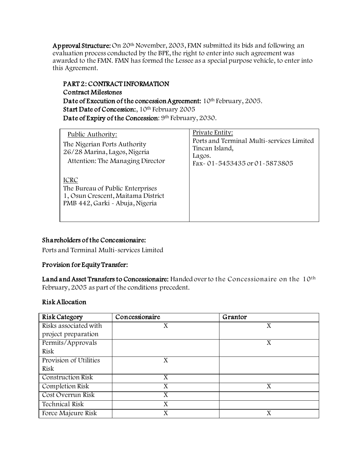Approval Structure: On 20<sup>th</sup> November, 2003, FMN submitted its bids and following an evaluation process conducted by the BPE, the right to enter into such agreement was awarded to the FMN. FMN has formed the Lessee as a special purpose vehicle, to enter into this Agreement.

## PART 2: CONTRACT INFORMATION Contract Milestones Date of Execution of the concession Agreement: 10<sup>th</sup> February, 2005. Start Date of Concession:, 10<sup>th</sup> February 2005 Date of Expiry of the Concession: 9<sup>th</sup> February, 2030.

| Public Authority:<br>The Nigerian Ports Authority<br>26/28 Marina, Lagos, Nigeria<br>Attention: The Managing Director    | Private Entity:<br>Ports and Terminal Multi-services Limited<br>Tincan Island,<br>Lagos.<br>Fax - 01 - 5453435 or 01 - 5873805 |
|--------------------------------------------------------------------------------------------------------------------------|--------------------------------------------------------------------------------------------------------------------------------|
| <b>ICRC</b><br>The Bureau of Public Enterprises<br>1, Osun Crescent, Maitama District<br>PMB 442, Garki - Abuja, Nigeria |                                                                                                                                |

## Shareholders of the Concessionaire:

Ports and Terminal Multi-services Limited

#### Provision for Equity Transfer:

Land and Asset Transfers to Concessionaire: Handed over to the Concessionaire on the 10<sup>th</sup> February, 2005 as part of the conditions precedent.

#### Risk Allocation

| <b>Risk Category</b>   | Concessionaire | Grantor |
|------------------------|----------------|---------|
| Risks associated with  | X              | Χ       |
| project preparation    |                |         |
| Permits/Approvals      |                | X       |
| <b>Risk</b>            |                |         |
| Provision of Utilities | X              |         |
| <b>Risk</b>            |                |         |
| Construction Risk      | X              |         |
| Completion Risk        | X              | X       |
| Cost Overrun Risk      | X              |         |
| <b>Technical Risk</b>  | X              |         |
| Force Majeure Risk     | X              | X       |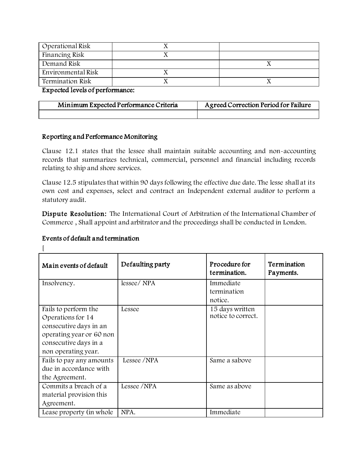| Operational Risk        |  |
|-------------------------|--|
| Financing Risk          |  |
| Demand Risk             |  |
| Environmental Risk      |  |
| <b>Termination Risk</b> |  |

Expected levels of performance:

| Minimum Expected Performance Criteria | Agreed Correction Period for Failure |  |
|---------------------------------------|--------------------------------------|--|
|                                       |                                      |  |

#### Reporting and Performance Monitoring

Clause 12.1 states that the lessee shall maintain suitable accounting and non-accounting records that summarizes technical, commercial, personnel and financial including records relating to ship and shore services.

Clause 12.5 stipulates that within 90 days following the effective due date. The lesse shall at its own cost and expenses, select and contract an Independent external auditor to perform a statutory audit.

Dispute Resolution: The International Court of Arbitration of the International Chamber of Commerce , Shall appoint and arbitrator and the proceedings shall be conducted in London.

#### Events of default and termination

 $\lceil$ 

| Main events of default   | Defaulting party | Procedure for<br>termination. | Termination<br>Payments. |
|--------------------------|------------------|-------------------------------|--------------------------|
| Insolvency.              | lessee/NPA       | Immediate<br>termination      |                          |
|                          |                  | notice.                       |                          |
| Fails to perform the     | Lessee           | 15 days written               |                          |
| Operations for 14        |                  | notice to correct.            |                          |
| consecutive days in an   |                  |                               |                          |
| operating year or 60 non |                  |                               |                          |
| consecutive days in a    |                  |                               |                          |
| non operating year.      |                  |                               |                          |
| Fails to pay any amounts | Lessee /NPA      | Same a sabove                 |                          |
| due in accordance with   |                  |                               |                          |
| the Agreement.           |                  |                               |                          |
| Commits a breach of a    | Lessee /NPA      | Same as above                 |                          |
| material provision this  |                  |                               |                          |
| Agreement.               |                  |                               |                          |
| Lease property (in whole | NPA.             | Immediate                     |                          |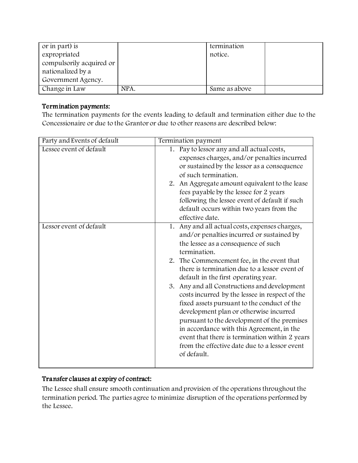| or in part) is           |      | termination   |  |
|--------------------------|------|---------------|--|
| expropriated             |      | notice.       |  |
| compulsorily acquired or |      |               |  |
| nationalized by a        |      |               |  |
| Government Agency.       |      |               |  |
| Change in Law            | NPA. | Same as above |  |

## Termination payments:

The termination payments for the events leading to default and termination either due to the Concessionaire or due to the Grantor or due to other reasons are described below:

| Party and Events of default | Termination payment                                                                            |  |  |
|-----------------------------|------------------------------------------------------------------------------------------------|--|--|
| Lessee event of default     | 1. Pay to lessor any and all actual costs,                                                     |  |  |
|                             | expenses charges, and/or penalties incurred                                                    |  |  |
|                             | or sustained by the lessor as a consequence                                                    |  |  |
|                             | of such termination.                                                                           |  |  |
|                             | 2. An Aggregate amount equivalent to the lease                                                 |  |  |
|                             | fees payable by the lessee for 2 years                                                         |  |  |
|                             | following the lessee event of default if such                                                  |  |  |
|                             | default occurs within two years from the                                                       |  |  |
|                             | effective date.                                                                                |  |  |
| Lessor event of default     | 1. Any and all actual costs, expenses charges,                                                 |  |  |
|                             | and/or penalties incurred or sustained by                                                      |  |  |
|                             | the lessee as a consequence of such                                                            |  |  |
|                             | termination.                                                                                   |  |  |
|                             | 2. The Commencement fee, in the event that                                                     |  |  |
|                             | there is termination due to a lessor event of                                                  |  |  |
|                             | default in the first operating year.                                                           |  |  |
|                             | 3. Any and all Constructions and development<br>costs incurred by the lessee in respect of the |  |  |
|                             |                                                                                                |  |  |
|                             | fixed assets pursuant to the conduct of the<br>development plan or otherwise incurred          |  |  |
|                             | pursuant to the development of the premises                                                    |  |  |
|                             | in accordance with this Agreement, in the                                                      |  |  |
|                             | event that there is termination within 2 years                                                 |  |  |
|                             | from the effective date due to a lessor event                                                  |  |  |
|                             | of default.                                                                                    |  |  |
|                             |                                                                                                |  |  |
|                             |                                                                                                |  |  |

## Transfer clauses at expiry of contract:

The Lessee shall ensure smooth continuation and provision of the operations throughout the termination period. The parties agree to minimize disruption of the operations performed by the Lessee.